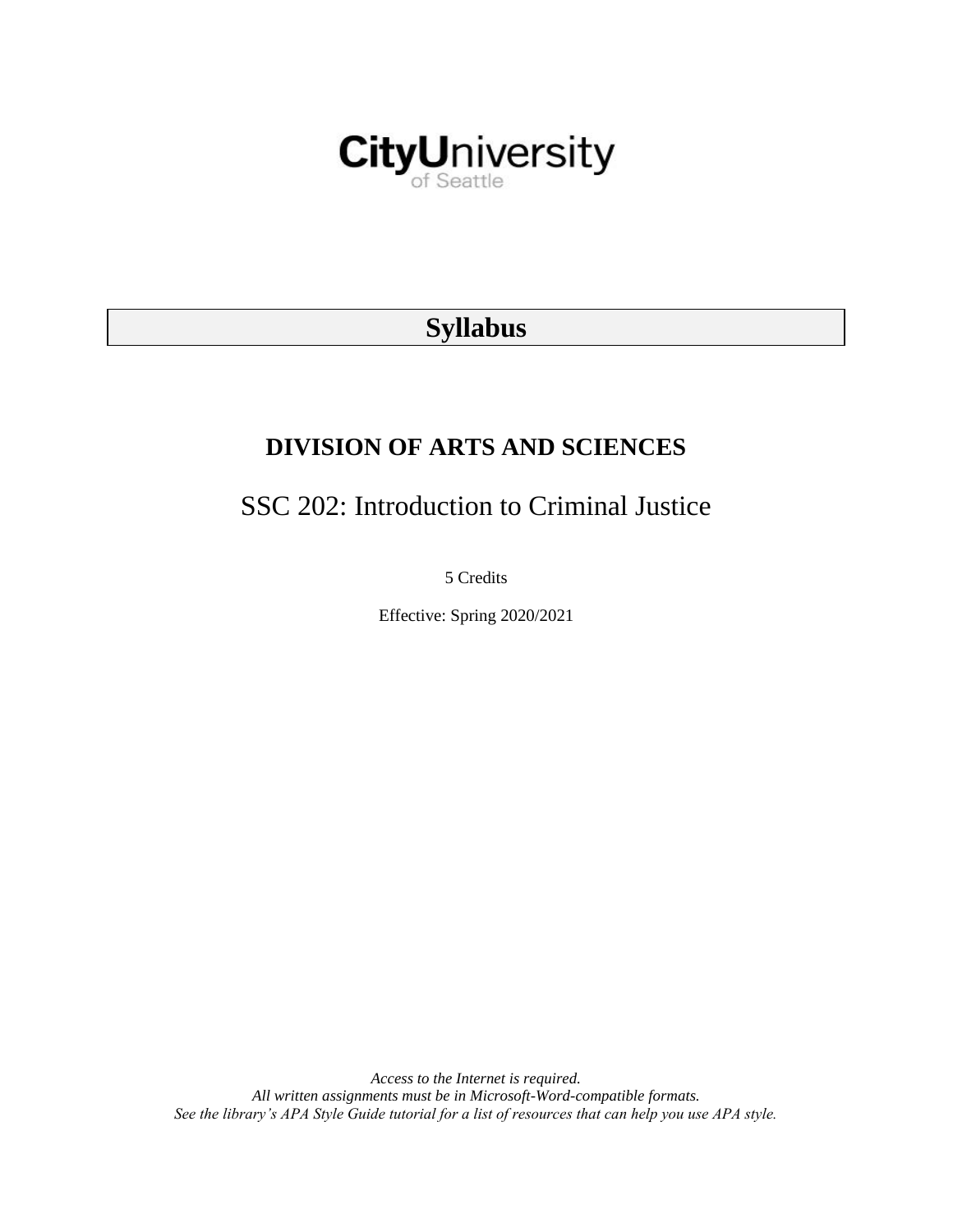

# **Syllabus**

# **DIVISION OF ARTS AND SCIENCES**

# SSC 202: Introduction to Criminal Justice

5 Credits

Effective: Spring 2020/2021

*Access to the Internet is required. All written assignments must be in Microsoft-Word-compatible formats. See the library's APA Style Guide tutorial for a list of resources that can help you use APA style.*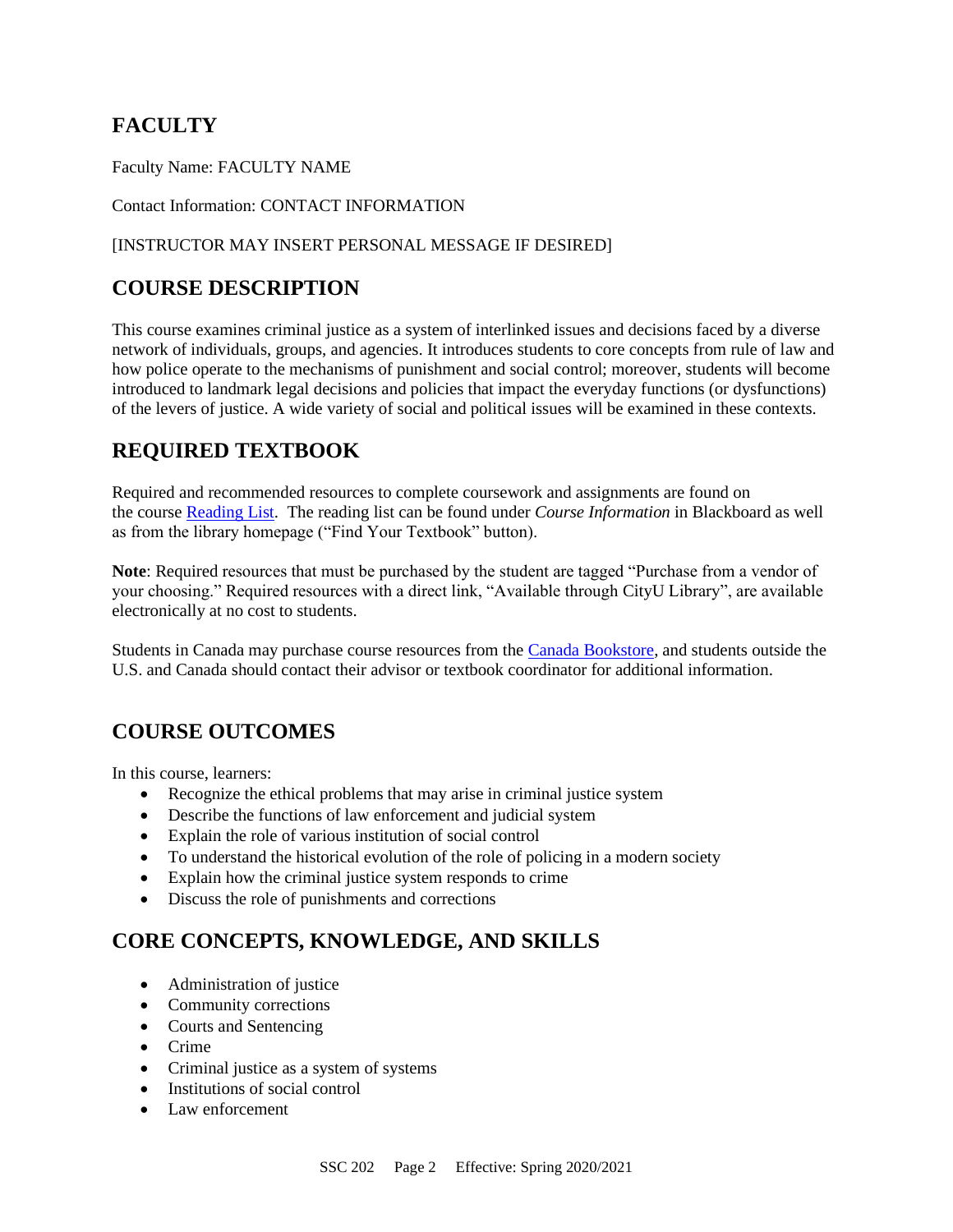## **FACULTY**

Faculty Name: FACULTY NAME

#### Contact Information: CONTACT INFORMATION

#### [INSTRUCTOR MAY INSERT PERSONAL MESSAGE IF DESIRED]

## **COURSE DESCRIPTION**

This course examines criminal justice as a system of interlinked issues and decisions faced by a diverse network of individuals, groups, and agencies. It introduces students to core concepts from rule of law and how police operate to the mechanisms of punishment and social control; moreover, students will become introduced to landmark legal decisions and policies that impact the everyday functions (or dysfunctions) of the levers of justice. A wide variety of social and political issues will be examined in these contexts.

## **REQUIRED TEXTBOOK**

Required and recommended resources to complete coursework and assignments are found on the course [Reading List.](https://cityu.alma.exlibrisgroup.com/leganto/login?auth=SAML) The reading list can be found under *Course Information* in Blackboard as well as from the library homepage ("Find Your Textbook" button).

**Note**: Required resources that must be purchased by the student are tagged "Purchase from a vendor of your choosing." Required resources with a direct link, "Available through CityU Library", are available electronically at no cost to students.

Students in Canada may purchase course resources from the [Canada Bookstore,](https://www.cityubookstore.ca/index.asp) and students outside the U.S. and Canada should contact their advisor or textbook coordinator for additional information.

## **COURSE OUTCOMES**

In this course, learners:

- Recognize the ethical problems that may arise in criminal justice system
- Describe the functions of law enforcement and judicial system
- Explain the role of various institution of social control
- To understand the historical evolution of the role of policing in a modern society
- Explain how the criminal justice system responds to crime
- Discuss the role of punishments and corrections

## **CORE CONCEPTS, KNOWLEDGE, AND SKILLS**

- Administration of justice
- Community corrections
- Courts and Sentencing
- Crime
- Criminal justice as a system of systems
- Institutions of social control
- Law enforcement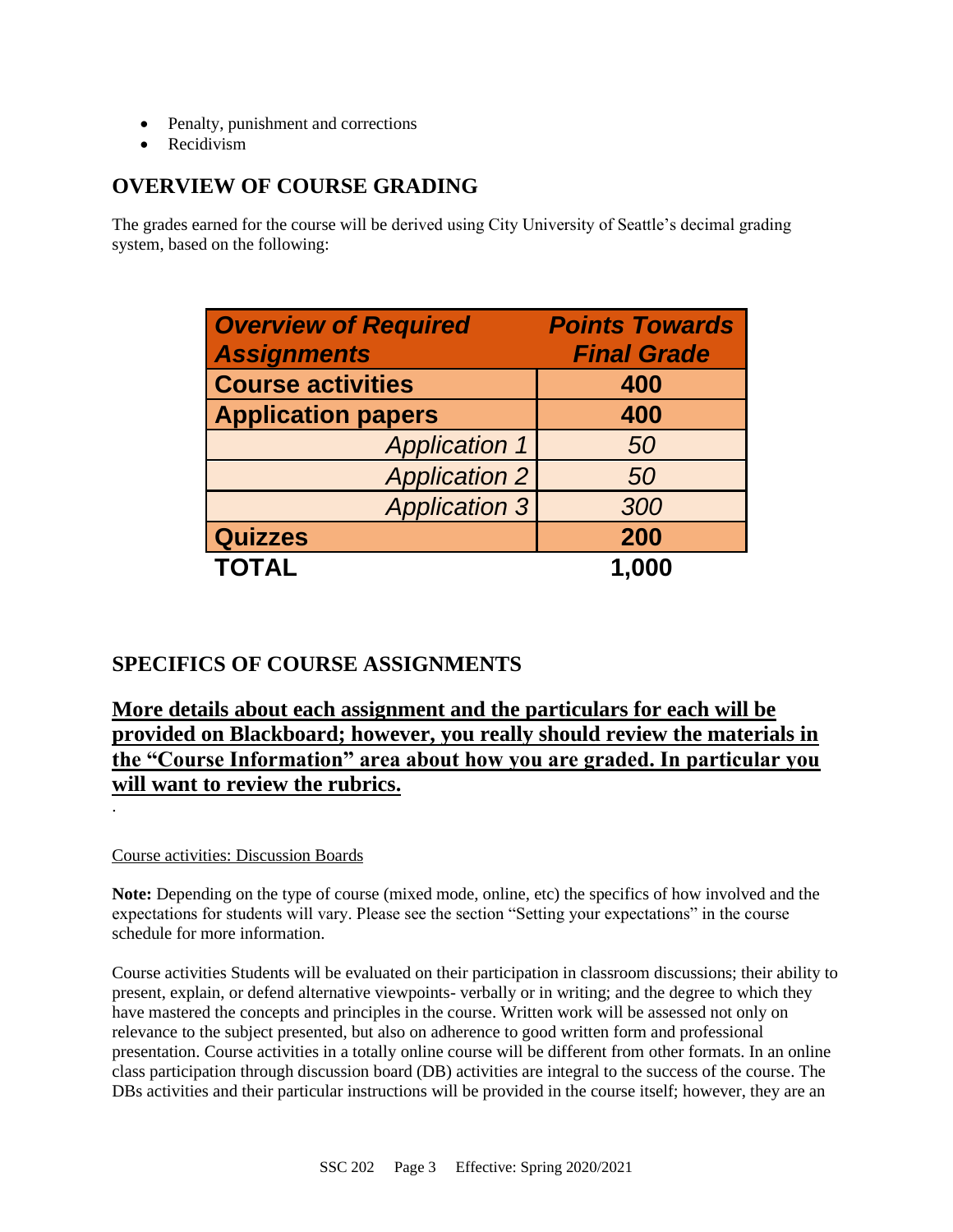- Penalty, punishment and corrections
- Recidivism

## **OVERVIEW OF COURSE GRADING**

The grades earned for the course will be derived using City University of Seattle's decimal grading system, based on the following:

| <b>Overview of Required</b> | <b>Points Towards</b> |
|-----------------------------|-----------------------|
| <b>Assignments</b>          | <b>Final Grade</b>    |
| <b>Course activities</b>    | 400                   |
| <b>Application papers</b>   | 400                   |
| <b>Application 1</b>        | 50                    |
| <b>Application 2</b>        | 50                    |
| <b>Application 3</b>        | 300                   |
| <b>Quizzes</b>              | 200                   |
| <b>TOTAL</b>                | 1,000                 |

## **SPECIFICS OF COURSE ASSIGNMENTS**

## **More details about each assignment and the particulars for each will be provided on Blackboard; however, you really should review the materials in the "Course Information" area about how you are graded. In particular you will want to review the rubrics.**

### Course activities: Discussion Boards

.

**Note:** Depending on the type of course (mixed mode, online, etc) the specifics of how involved and the expectations for students will vary. Please see the section "Setting your expectations" in the course schedule for more information.

Course activities Students will be evaluated on their participation in classroom discussions; their ability to present, explain, or defend alternative viewpoints- verbally or in writing; and the degree to which they have mastered the concepts and principles in the course. Written work will be assessed not only on relevance to the subject presented, but also on adherence to good written form and professional presentation. Course activities in a totally online course will be different from other formats. In an online class participation through discussion board (DB) activities are integral to the success of the course. The DBs activities and their particular instructions will be provided in the course itself; however, they are an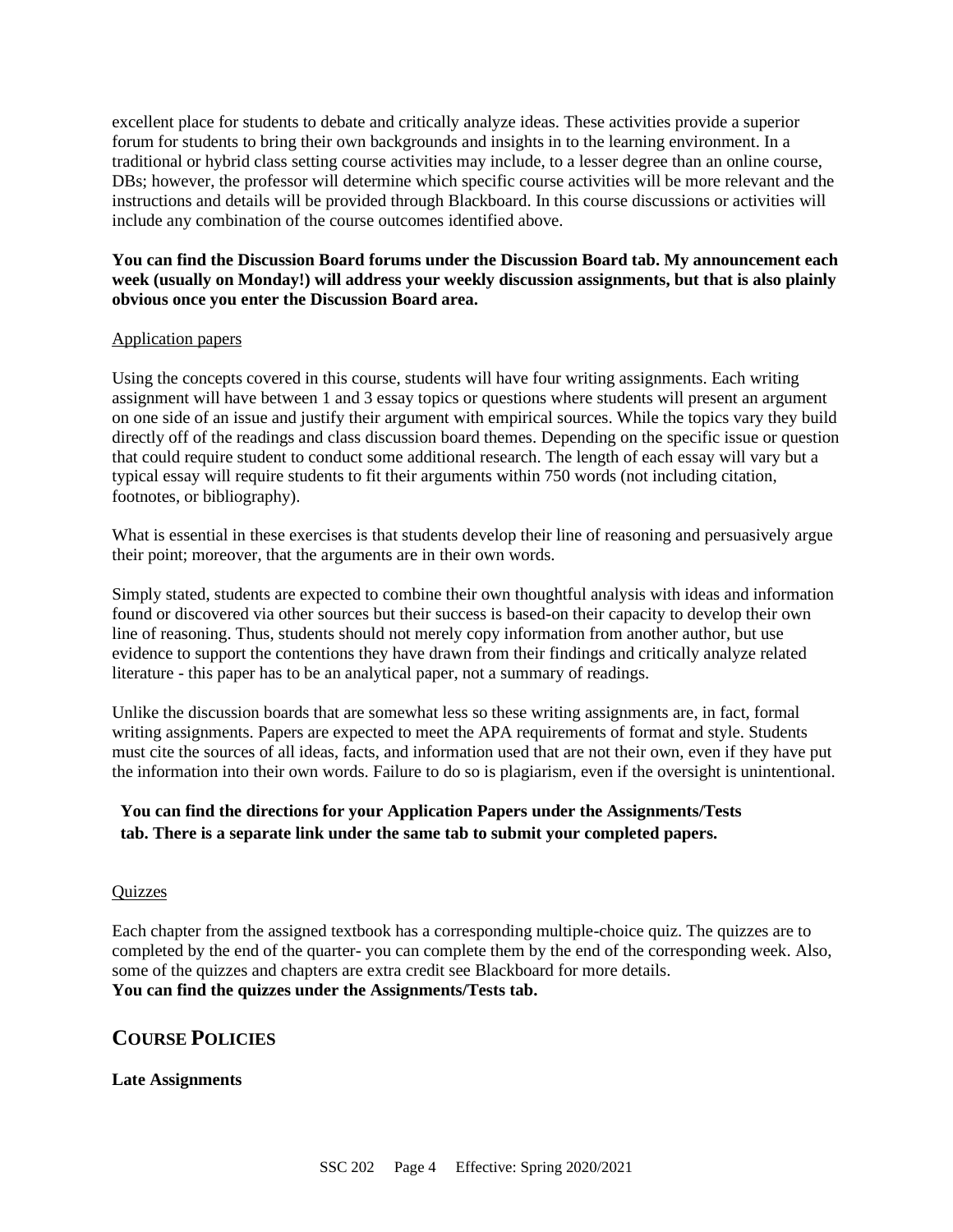excellent place for students to debate and critically analyze ideas. These activities provide a superior forum for students to bring their own backgrounds and insights in to the learning environment. In a traditional or hybrid class setting course activities may include, to a lesser degree than an online course, DBs; however, the professor will determine which specific course activities will be more relevant and the instructions and details will be provided through Blackboard. In this course discussions or activities will include any combination of the course outcomes identified above.

#### **You can find the Discussion Board forums under the Discussion Board tab. My announcement each week (usually on Monday!) will address your weekly discussion assignments, but that is also plainly obvious once you enter the Discussion Board area.**

#### Application papers

Using the concepts covered in this course, students will have four writing assignments. Each writing assignment will have between 1 and 3 essay topics or questions where students will present an argument on one side of an issue and justify their argument with empirical sources. While the topics vary they build directly off of the readings and class discussion board themes. Depending on the specific issue or question that could require student to conduct some additional research. The length of each essay will vary but a typical essay will require students to fit their arguments within 750 words (not including citation, footnotes, or bibliography).

What is essential in these exercises is that students develop their line of reasoning and persuasively argue their point; moreover, that the arguments are in their own words.

Simply stated, students are expected to combine their own thoughtful analysis with ideas and information found or discovered via other sources but their success is based-on their capacity to develop their own line of reasoning. Thus, students should not merely copy information from another author, but use evidence to support the contentions they have drawn from their findings and critically analyze related literature - this paper has to be an analytical paper, not a summary of readings.

Unlike the discussion boards that are somewhat less so these writing assignments are, in fact, formal writing assignments. Papers are expected to meet the APA requirements of format and style. Students must cite the sources of all ideas, facts, and information used that are not their own, even if they have put the information into their own words. Failure to do so is plagiarism, even if the oversight is unintentional.

### **You can find the directions for your Application Papers under the Assignments/Tests tab. There is a separate link under the same tab to submit your completed papers.**

#### **Quizzes**

Each chapter from the assigned textbook has a corresponding multiple-choice quiz. The quizzes are to completed by the end of the quarter- you can complete them by the end of the corresponding week. Also, some of the quizzes and chapters are extra credit see Blackboard for more details. **You can find the quizzes under the Assignments/Tests tab.**

### **COURSE POLICIES**

#### **Late Assignments**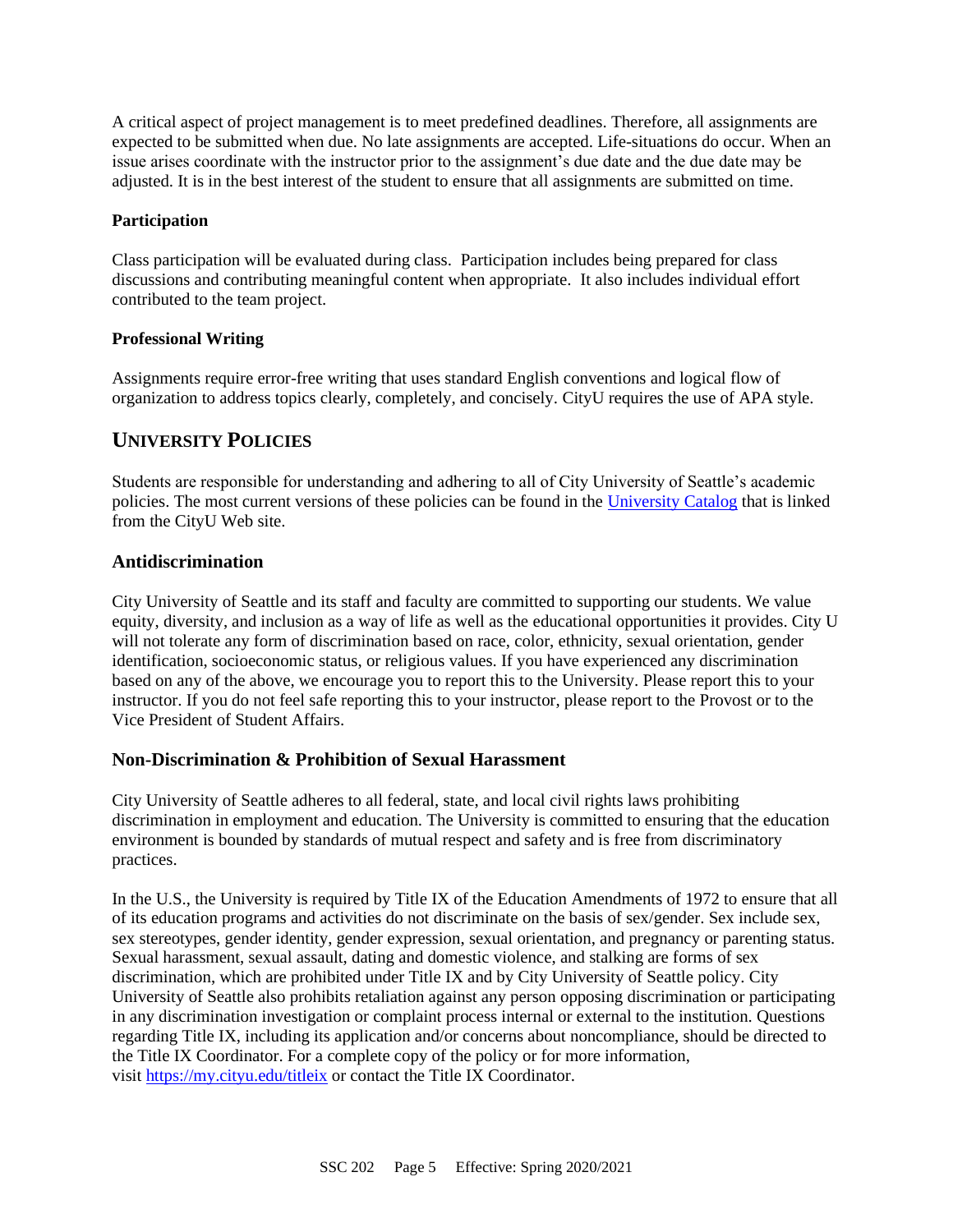A critical aspect of project management is to meet predefined deadlines. Therefore, all assignments are expected to be submitted when due. No late assignments are accepted. Life-situations do occur. When an issue arises coordinate with the instructor prior to the assignment's due date and the due date may be adjusted. It is in the best interest of the student to ensure that all assignments are submitted on time.

#### **Participation**

Class participation will be evaluated during class. Participation includes being prepared for class discussions and contributing meaningful content when appropriate. It also includes individual effort contributed to the team project.

#### **Professional Writing**

Assignments require error-free writing that uses standard English conventions and logical flow of organization to address topics clearly, completely, and concisely. CityU requires the use of APA style.

### **UNIVERSITY POLICIES**

Students are responsible for understanding and adhering to all of City University of Seattle's academic policies. The most current versions of these policies can be found in the [University Catalog](http://www.cityu.edu/catalog/) that is linked from the CityU Web site.

#### **Antidiscrimination**

City University of Seattle and its staff and faculty are committed to supporting our students. We value equity, diversity, and inclusion as a way of life as well as the educational opportunities it provides. City U will not tolerate any form of discrimination based on race, color, ethnicity, sexual orientation, gender identification, socioeconomic status, or religious values. If you have experienced any discrimination based on any of the above, we encourage you to report this to the University. Please report this to your instructor. If you do not feel safe reporting this to your instructor, please report to the Provost or to the Vice President of Student Affairs.

#### **Non-Discrimination & Prohibition of Sexual Harassment**

City University of Seattle adheres to all federal, state, and local civil rights laws prohibiting discrimination in employment and education. The University is committed to ensuring that the education environment is bounded by standards of mutual respect and safety and is free from discriminatory practices.

In the U.S., the University is required by Title IX of the Education Amendments of 1972 to ensure that all of its education programs and activities do not discriminate on the basis of sex/gender. Sex include sex, sex stereotypes, gender identity, gender expression, sexual orientation, and pregnancy or parenting status. Sexual harassment, sexual assault, dating and domestic violence, and stalking are forms of sex discrimination, which are prohibited under Title IX and by City University of Seattle policy. City University of Seattle also prohibits retaliation against any person opposing discrimination or participating in any discrimination investigation or complaint process internal or external to the institution. Questions regarding Title IX, including its application and/or concerns about noncompliance, should be directed to the Title IX Coordinator. For a complete copy of the policy or for more information, visit <https://my.cityu.edu/titleix> or contact the Title IX Coordinator.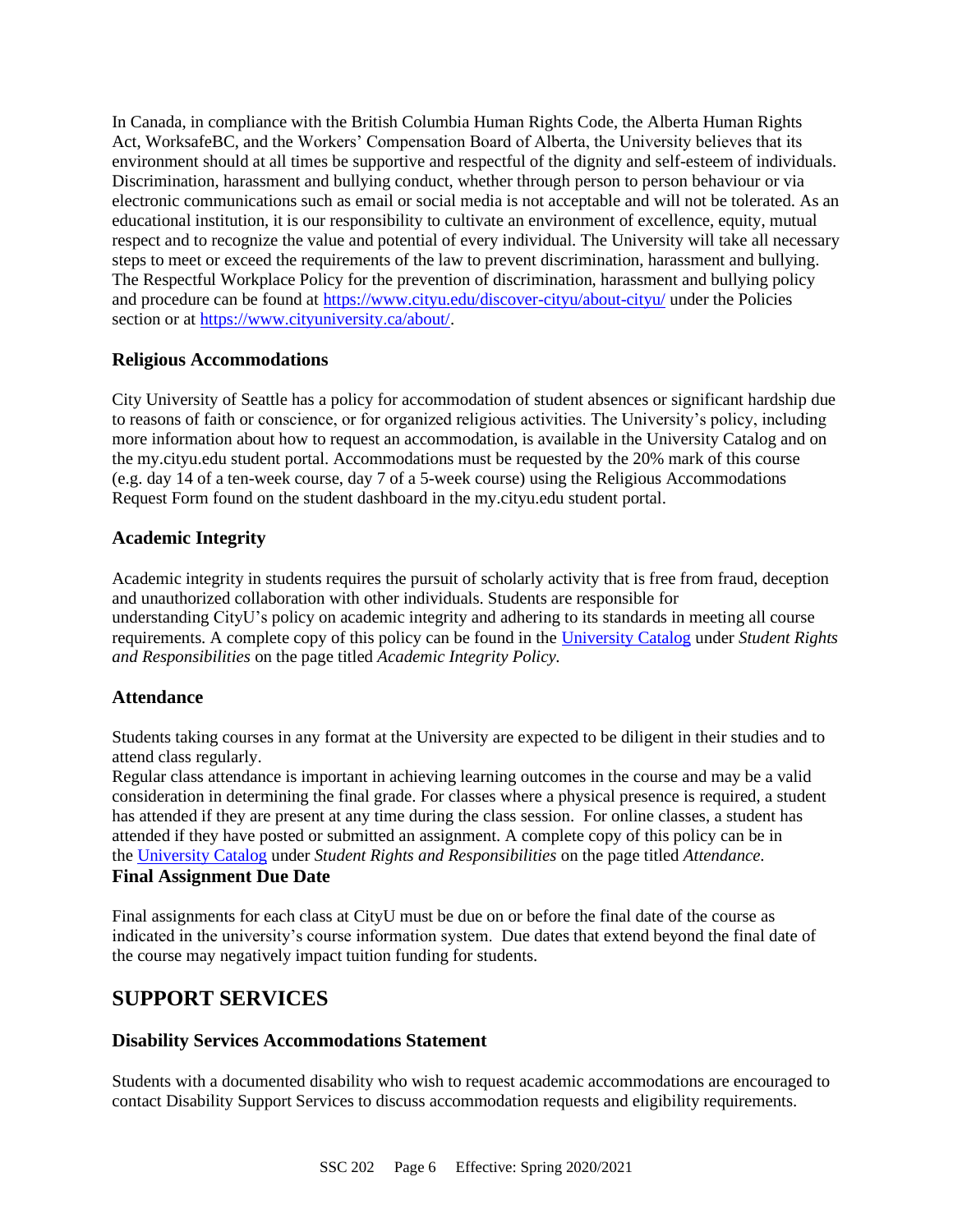In Canada, in compliance with the British Columbia Human Rights Code, the Alberta Human Rights Act, WorksafeBC, and the Workers' Compensation Board of Alberta, the University believes that its environment should at all times be supportive and respectful of the dignity and self-esteem of individuals. Discrimination, harassment and bullying conduct, whether through person to person behaviour or via electronic communications such as email or social media is not acceptable and will not be tolerated. As an educational institution, it is our responsibility to cultivate an environment of excellence, equity, mutual respect and to recognize the value and potential of every individual. The University will take all necessary steps to meet or exceed the requirements of the law to prevent discrimination, harassment and bullying. The Respectful Workplace Policy for the prevention of discrimination, harassment and bullying policy and procedure can be found at <https://www.cityu.edu/discover-cityu/about-cityu/> under the Policies section or at [https://www.cityuniversity.ca/about/.](https://www.cityuniversity.ca/about/)

### **Religious Accommodations**

City University of Seattle has a policy for accommodation of student absences or significant hardship due to reasons of faith or conscience, or for organized religious activities. The University's policy, including more information about how to request an accommodation, is available in the University Catalog and on the my.cityu.edu student portal. Accommodations must be requested by the 20% mark of this course (e.g. day 14 of a ten-week course, day 7 of a 5-week course) using the Religious Accommodations Request Form found on the student dashboard in the my.cityu.edu student portal.

### **Academic Integrity**

Academic integrity in students requires the pursuit of scholarly activity that is free from fraud, deception and unauthorized collaboration with other individuals. Students are responsible for understanding CityU's policy on academic integrity and adhering to its standards in meeting all course requirements. A complete copy of this policy can be found in the [University Catalog](http://www.cityu.edu/catalog/) under *Student Rights and Responsibilities* on the page titled *Academic Integrity Policy.*

### **Attendance**

Students taking courses in any format at the University are expected to be diligent in their studies and to attend class regularly.

Regular class attendance is important in achieving learning outcomes in the course and may be a valid consideration in determining the final grade. For classes where a physical presence is required, a student has attended if they are present at any time during the class session. For online classes, a student has attended if they have posted or submitted an assignment. A complete copy of this policy can be in the [University Catalog](http://www.cityu.edu/catalog/) under *Student Rights and Responsibilities* on the page titled *Attendance.* **Final Assignment Due Date**

Final assignments for each class at CityU must be due on or before the final date of the course as indicated in the university's course information system. Due dates that extend beyond the final date of the course may negatively impact tuition funding for students.

### **SUPPORT SERVICES**

### **Disability Services Accommodations Statement**

Students with a documented disability who wish to request academic accommodations are encouraged to contact Disability Support Services to discuss accommodation requests and eligibility requirements.